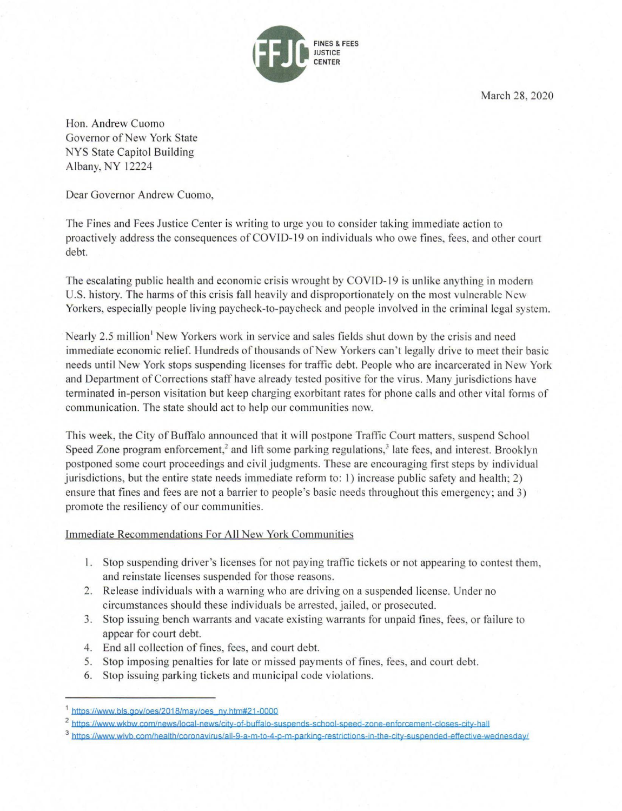

March 28, 2020

Hon. Andrew Cuomo Governor of New York State NYS State Capitol Building Albany, NY 12224

Dear Governor Andrew Cuomo,

The Fines and Fees Justice Center is writing to urge you to consider taking immediate action to proactively address the consequences of COVID-19 on individuals who owe fines, fees, and other court debt.

The escalating public health and economic crisis wrought by COVID-19 is unlike anything in modern U.S. history. The harms of this crisis fall heavily and disproportionately on the most vulnerable New Yorkers, especially people living paycheck-to-paycheck and people involved in the criminal legal system.

Nearly 2.5 million<sup>1</sup> New Yorkers work in service and sales fields shut down by the crisis and need immediate economic relief. Hundreds of thousands of New Yorkers can't legally drive to meet their basic needs until New York stops suspending licenses for traffic debt. People who are incarcerated in New York and Department of Corrections staff have already tested positive for the virus. Many jurisdictions have terminated in-person visitation but keep charging exorbitant rates for phone calls and other vital forms of communication. The state should act to help our communities now.

This week, the City of Buffalo announced that it will postpone Traffic Court matters, suspend School Speed Zone program enforcement,<sup>2</sup> and lift some parking regulations,<sup>3</sup> late fees, and interest. Brooklyn postponed some court proceedings and civil judgments. These are encouraging first steps by individual jurisdictions, but the entire state needs immediate reform to: 1) increase public safety and health; 2) ensure that fines and fees are not a barrier to people's basic needs throughout this emergency; and 3) promote the resiliency of our communities.

## Immediate Recommendations For All New York Communities

- 1. Stop suspending driver's licenses for not paying traffic tickets or not appearing to contest them, and reinstate licenses suspended for those reasons.
- 2. Release individuals with a warning who are driving on a suspended license. Under no circumstances should these individuals be arrested, jailed, or prosecuted.
- 3. Stop issuing bench warrants and vacate existing warrants for unpaid fines, fees, or failure to appear for court debt.
- 4. End all collection of fines, fees, and court debt.
- 5. Stop imposing penalties for late or missed payments of fines, fees, and court debt.
- 6. Stop issuing parking tickets and municipal code violations.

https://www.bls.gov/oes/2018/may/oes\_ny.htm#21-0000

<sup>&</sup>lt;sup>2</sup> https://www.wkbw.com/news/local-news/city-of-buffalo-suspends-school-speed-zone-enforcement-closes-city-hall

<sup>3</sup> https://www.wivb.com/health/coronavirus/all-9-a-m-to-4-p-m-parking-restrictions-in-the-city-suspended-effective-wednesday/